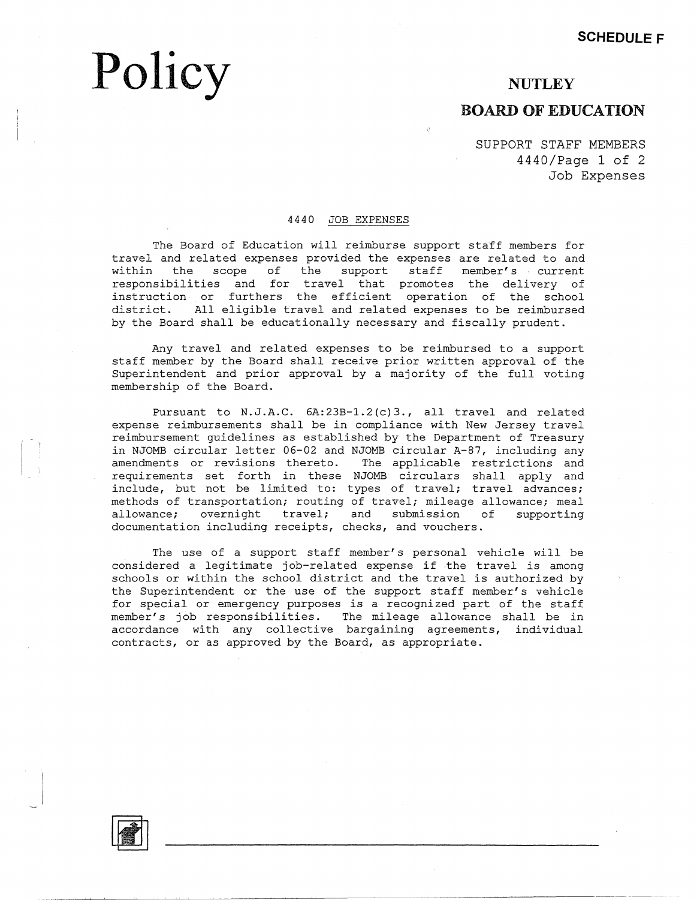# **Policy**

# **NUTLEY**

# **BOARD OF EDUCATION**

SUPPORT STAFF MEMBERS 4440/Page 1 of 2 Job Expenses

### 4440 JOB EXPENSES

The Board of Education will reimburse support staff members for travel and related expenses provided the expenses are related to and within the scope of the support staff member's current responsibilities and for travel that promotes the delivery of instruction. or furthers the efficient operation of the school district. All eligible travel and related expenses to be reimbursed by the Board shall be educationally necessary and fiscally prudent.

Any travel and related expenses to be reimbursed to a support staff member by the Board shall receive prior written approval of the Superintendent and prior approval by a majority of the full voting membership of the Board.

Pursuant to N.J.A.C. 6A:23B-1.2(c)3., all travel and related expense reimbursements shall be in compliance with New Jersey travel reimbursement guidelines as established by the Department of Treasury in NJOMB circular letter 06-02 and NJOMB circular A-87, including any<br>amendments or revisions thereto. The applicable restrictions and amendments or revisions thereto. requirements set forth in these NJOMB circulars shall apply and include, but not be limited to: types of travel; travel advances; methods of transportation; routing of travel; mileage allowance; meal allowance; overnight travel; and submission of supporting documentation including receipts, checks, and vouchers.

The use of a support staff member's personal vehicle will be considered a legitimate job-related expense if .the travel *is* among schools or within the school district and the travel *is* authorized by the Superintendent or the use of the support staff member's vehicle for special or emergency purposes is a recognized part of the staff member's job responsibilities. The mileage allowance shall be in accordance with any collective bargaining agreements, individual contracts, or as approved by the Board, as appropriate.